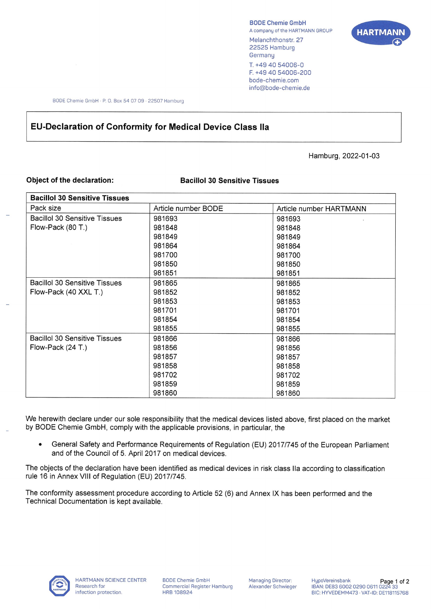BODE Chemie GmbH A company of the HARTMANN GROUP Melanchthonstr. 27 22525 Hamburg **Germany** T. +49 40 54006-0 F. +49 40 54006-200 bode-chemie.com info@bode-chemie.de



BODE Chemie GmbH · P. O. Box 54 07 09 · 22507 Hamburg

## **EU-Declaration of Conformity for Medical Device Class Ila**

Hamburg, 2022-01-03

## **Object of the declaration: Bacillol 30 Sensitive Tissues**

| <b>Bacillol 30 Sensitive Tissues</b> |                     |                         |
|--------------------------------------|---------------------|-------------------------|
| Pack size                            | Article number BODE | Article number HARTMANN |
| <b>Bacillol 30 Sensitive Tissues</b> | 981693              | 981693                  |
| Flow-Pack (80 T.)                    | 981848              | 981848                  |
|                                      | 981849              | 981849                  |
|                                      | 981864              | 981864                  |
|                                      | 981700              | 981700                  |
|                                      | 981850              | 981850                  |
|                                      | 981851              | 981851                  |
| <b>Bacillol 30 Sensitive Tissues</b> | 981865              | 981865                  |
| Flow-Pack (40 XXL T.)                | 981852              | 981852                  |
|                                      | 981853              | 981853                  |
|                                      | 981701              | 981701                  |
|                                      | 981854              | 981854                  |
|                                      | 981855              | 981855                  |
| <b>Bacillol 30 Sensitive Tissues</b> | 981866              | 981866                  |
| Flow-Pack $(24 T.)$                  | 981856              | 981856                  |
|                                      | 981857              | 981857                  |
|                                      | 981858              | 981858                  |
|                                      | 981702              | 981702                  |
|                                      | 981859              | 981859                  |
|                                      | 981860              | 981860                  |

We herewith declare under our sole responsibility that the medical devices listed above, first placed on the market by BODE Chemie GmbH, comply with the applicable provisions, in particular, the

• General Safety and Performance Requirements of Regulation (EU) 2017/745 of the European Parliament and of the Council of 5. April 2017 on medical devices.

The objects of the declaration have been identified as medical devices in risk class Ila according to classification rule 16 in Annex VIII of Regulation (EU) 2017/745.

The conformity assessment procedure according to Article 52 (6) and Annex IX has been performed and the Technical Documentation is kept available.